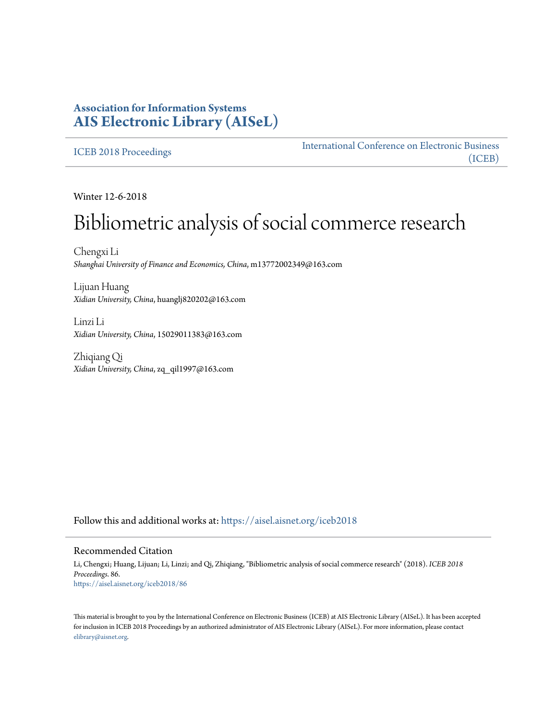# **Association for Information Systems [AIS Electronic Library \(AISeL\)](https://aisel.aisnet.org?utm_source=aisel.aisnet.org%2Ficeb2018%2F86&utm_medium=PDF&utm_campaign=PDFCoverPages)**

## [ICEB 2018 Proceedings](https://aisel.aisnet.org/iceb2018?utm_source=aisel.aisnet.org%2Ficeb2018%2F86&utm_medium=PDF&utm_campaign=PDFCoverPages)

[International Conference on Electronic Business](https://aisel.aisnet.org/iceb?utm_source=aisel.aisnet.org%2Ficeb2018%2F86&utm_medium=PDF&utm_campaign=PDFCoverPages) [\(ICEB\)](https://aisel.aisnet.org/iceb?utm_source=aisel.aisnet.org%2Ficeb2018%2F86&utm_medium=PDF&utm_campaign=PDFCoverPages)

Winter 12-6-2018

# Bibliometric analysis of social commerce research

Chengxi Li *Shanghai University of Finance and Economics, China*, m13772002349@163.com

Lijuan Huang *Xidian University, China*, huanglj820202@163.com

Linzi Li *Xidian University, China*, 15029011383@163.com

Zhiqiang Qi *Xidian University, China*, zq\_qil1997@163.com

Follow this and additional works at: [https://aisel.aisnet.org/iceb2018](https://aisel.aisnet.org/iceb2018?utm_source=aisel.aisnet.org%2Ficeb2018%2F86&utm_medium=PDF&utm_campaign=PDFCoverPages)

#### Recommended Citation

Li, Chengxi; Huang, Lijuan; Li, Linzi; and Qi, Zhiqiang, "Bibliometric analysis of social commerce research" (2018). *ICEB 2018 Proceedings*. 86. [https://aisel.aisnet.org/iceb2018/86](https://aisel.aisnet.org/iceb2018/86?utm_source=aisel.aisnet.org%2Ficeb2018%2F86&utm_medium=PDF&utm_campaign=PDFCoverPages)

This material is brought to you by the International Conference on Electronic Business (ICEB) at AIS Electronic Library (AISeL). It has been accepted for inclusion in ICEB 2018 Proceedings by an authorized administrator of AIS Electronic Library (AISeL). For more information, please contact [elibrary@aisnet.org.](mailto:elibrary@aisnet.org%3E)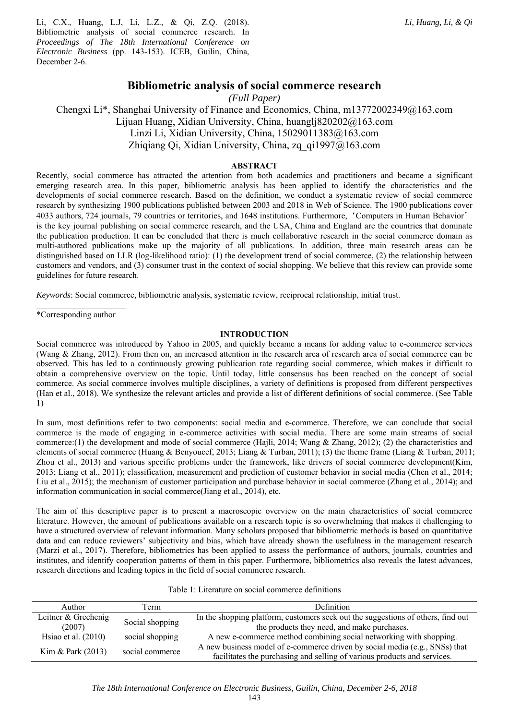Li, C.X., Huang, L.J, Li, L.Z., & Qi, Z.Q. (2018). Bibliometric analysis of social commerce research. In *Proceedings of The 18th International Conference on Electronic Business* (pp. 143-153). ICEB, Guilin, China, December 2-6.

# **Bibliometric analysis of social commerce research**

*(Full Paper)*

Chengxi Li\*, Shanghai University of Finance and Economics, China, m13772002349@163.com Lijuan Huang, Xidian University, China, huanglj820202@163.com Linzi Li, Xidian University, China, 15029011383@163.com Zhiqiang Qi, Xidian University, China, zq\_qi1997@163.com

#### **ABSTRACT**

Recently, social commerce has attracted the attention from both academics and practitioners and became a significant emerging research area. In this paper, bibliometric analysis has been applied to identify the characteristics and the developments of social commerce research. Based on the definition, we conduct a systematic review of social commerce research by synthesizing 1900 publications published between 2003 and 2018 in Web of Science. The 1900 publications cover 4033 authors, 724 journals, 79 countries or territories, and 1648 institutions. Furthermore,'Computers in Human Behavior' is the key journal publishing on social commerce research, and the USA, China and England are the countries that dominate the publication production. It can be concluded that there is much collaborative research in the social commerce domain as multi-authored publications make up the majority of all publications. In addition, three main research areas can be distinguished based on LLR (log-likelihood ratio): (1) the development trend of social commerce, (2) the relationship between customers and vendors, and (3) consumer trust in the context of social shopping. We believe that this review can provide some guidelines for future research.

*Keywords*: Social commerce, bibliometric analysis, systematic review, reciprocal relationship, initial trust.

\*Corresponding author

#### **INTRODUCTION**

Social commerce was introduced by Yahoo in 2005, and quickly became a means for adding value to e-commerce services (Wang & Zhang, 2012). From then on, an increased attention in the research area of research area of social commerce can be observed. This has led to a continuously growing publication rate regarding social commerce, which makes it difficult to obtain a comprehensive overview on the topic. Until today, little consensus has been reached on the concept of social commerce. As social commerce involves multiple disciplines, a variety of definitions is proposed from different perspectives (Han et al., 2018). We synthesize the relevant articles and provide a list of different definitions of social commerce. (See Table 1)

In sum, most definitions refer to two components: social media and e-commerce. Therefore, we can conclude that social commerce is the mode of engaging in e-commerce activities with social media. There are some main streams of social commerce:(1) the development and mode of social commerce (Hajli, 2014; Wang & Zhang, 2012); (2) the characteristics and elements of social commerce (Huang & Benyoucef, 2013; Liang & Turban, 2011); (3) the theme frame (Liang & Turban, 2011; Zhou et al., 2013) and various specific problems under the framework, like drivers of social commerce development(Kim, 2013; Liang et al., 2011); classification, measurement and prediction of customer behavior in social media (Chen et al., 2014; Liu et al., 2015); the mechanism of customer participation and purchase behavior in social commerce (Zhang et al., 2014); and information communication in social commerce(Jiang et al., 2014), etc.

The aim of this descriptive paper is to present a macroscopic overview on the main characteristics of social commerce literature. However, the amount of publications available on a research topic is so overwhelming that makes it challenging to have a structured overview of relevant information. Many scholars proposed that bibliometric methods is based on quantitative data and can reduce reviewers' subjectivity and bias, which have already shown the usefulness in the management research (Marzi et al., 2017). Therefore, bibliometrics has been applied to assess the performance of authors, journals, countries and institutes, and identify cooperation patterns of them in this paper. Furthermore, bibliometrics also reveals the latest advances, research directions and leading topics in the field of social commerce research.

| Table 1: Literature on social commerce definitions |  |  |
|----------------------------------------------------|--|--|
|                                                    |  |  |

| Author                | Term            | Definition                                                                       |
|-----------------------|-----------------|----------------------------------------------------------------------------------|
| Leitner & Grechenig   | Social shopping | In the shopping platform, customers seek out the suggestions of others, find out |
| (2007)                |                 | the products they need, and make purchases.                                      |
| Hsiao et al. $(2010)$ | social shopping | A new e-commerce method combining social networking with shopping.               |
| Kim & Park $(2013)$   | social commerce | A new business model of e-commerce driven by social media (e.g., SNSs) that      |
|                       |                 | facilitates the purchasing and selling of various products and services.         |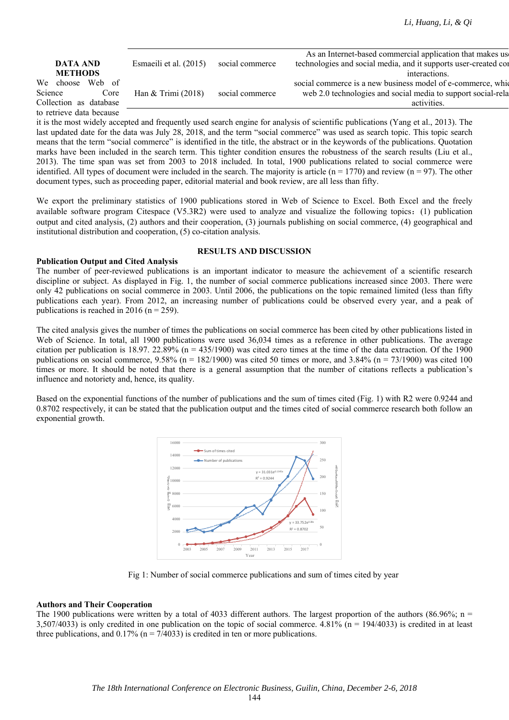|                          |                        |                 | As an Internet-based commercial application that makes us       |
|--------------------------|------------------------|-----------------|-----------------------------------------------------------------|
| <b>DATA AND</b>          | Esmaeili et al. (2015) | social commerce | technologies and social media, and it supports user-created cor |
| <b>METHODS</b>           |                        |                 | interactions.                                                   |
| We choose Web of         |                        |                 | social commerce is a new business model of e-commerce, which    |
| Science<br>Core          | Han $&$ Trimi (2018)   | social commerce | web 2.0 technologies and social media to support social-rela    |
| Collection as database   |                        |                 | activities.                                                     |
| to retrieve data because |                        |                 |                                                                 |

it is the most widely accepted and frequently used search engine for analysis of scientific publications (Yang et al., 2013). The last updated date for the data was July 28, 2018, and the term "social commerce" was used as search topic. This topic search means that the term "social commerce" is identified in the title, the abstract or in the keywords of the publications. Quotation marks have been included in the search term. This tighter condition ensures the robustness of the search results (Liu et al., 2013). The time span was set from 2003 to 2018 included. In total, 1900 publications related to social commerce were identified. All types of document were included in the search. The majority is article  $(n = 1770)$  and review  $(n = 97)$ . The other document types, such as proceeding paper, editorial material and book review, are all less than fifty.

We export the preliminary statistics of 1900 publications stored in Web of Science to Excel. Both Excel and the freely available software program Citespace (V5.3R2) were used to analyze and visualize the following topics:(1) publication output and cited analysis, (2) authors and their cooperation, (3) journals publishing on social commerce, (4) geographical and institutional distribution and cooperation, (5) co-citation analysis.

### **Publication Output and Cited Analysis**

#### **RESULTS AND DISCUSSION**

The number of peer-reviewed publications is an important indicator to measure the achievement of a scientific research discipline or subject. As displayed in Fig. 1, the number of social commerce publications increased since 2003. There were only 42 publications on social commerce in 2003. Until 2006, the publications on the topic remained limited (less than fifty publications each year). From 2012, an increasing number of publications could be observed every year, and a peak of publications is reached in 2016 ( $n = 259$ ).

The cited analysis gives the number of times the publications on social commerce has been cited by other publications listed in Web of Science. In total, all 1900 publications were used 36,034 times as a reference in other publications. The average citation per publication is 18.97. 22.89% ( $n = 435/1900$ ) was cited zero times at the time of the data extraction. Of the 1900 publications on social commerce,  $9.58\%$  (n = 182/1900) was cited 50 times or more, and 3.84% (n = 73/1900) was cited 100 times or more. It should be noted that there is a general assumption that the number of citations reflects a publication's influence and notoriety and, hence, its quality.

Based on the exponential functions of the number of publications and the sum of times cited (Fig. 1) with R2 were 0.9244 and 0.8702 respectively, it can be stated that the publication output and the times cited of social commerce research both follow an exponential growth.



Fig 1: Number of social commerce publications and sum of times cited by year

# **Authors and Their Cooperation**

The 1900 publications were written by a total of 4033 different authors. The largest proportion of the authors (86.96%; n = 3,507/4033) is only credited in one publication on the topic of social commerce. 4.81% ( $n = 194/4033$ ) is credited in at least three publications, and  $0.17\%$  (n = 7/4033) is credited in ten or more publications.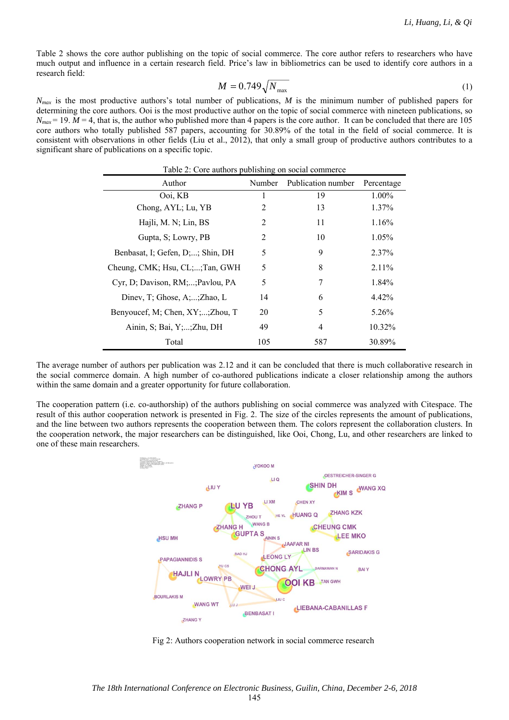Table 2 shows the core author publishing on the topic of social commerce. The core author refers to researchers who have much output and influence in a certain research field. Price's law in bibliometrics can be used to identify core authors in a research field:

$$
M = 0.749\sqrt{N_{\text{max}}}
$$
 (1)

*N<sub>max</sub>* is the most productive authors's total number of publications, *M* is the minimum number of published papers for determining the core authors. Ooi is the most productive author on the topic of social commerce with nineteen publications, so  $N_{max}$  = 19.  $M = 4$ , that is, the author who published more than 4 papers is the core author. It can be concluded that there are 105 core authors who totally published 587 papers, accounting for 30.89% of the total in the field of social commerce. It is consistent with observations in other fields (Liu et al., 2012), that only a small group of productive authors contributes to a significant share of publications on a specific topic.

| Table 2: Core authors publishing on social commerce<br>Author<br>Number<br>Publication number<br>Percentage |     |     |          |  |  |
|-------------------------------------------------------------------------------------------------------------|-----|-----|----------|--|--|
| Ooi, KB                                                                                                     | 1   | 19  | 1.00%    |  |  |
| Chong, AYL; Lu, YB                                                                                          | 2   | 13  | 1.37%    |  |  |
| Hajli, M. N; Lin, BS                                                                                        | 2   | 11  | 1.16%    |  |  |
| Gupta, S; Lowry, PB                                                                                         | 2   | 10  | 1.05%    |  |  |
| Benbasat, I; Gefen, D;; Shin, DH                                                                            | 5   | 9   | 2.37%    |  |  |
| Cheung, CMK; Hsu, CL;;Tan, GWH                                                                              | 5   | 8   | $2.11\%$ |  |  |
| Cyr, D; Davison, RM;; Pavlou, PA                                                                            | 5   | 7   | 1.84%    |  |  |
| Dinev, T; Ghose, A;;Zhao, L                                                                                 | 14  | 6   | 4.42%    |  |  |
| Benyoucef, M; Chen, XY;;Zhou, T                                                                             | 20  | 5   | 5.26%    |  |  |
| Ainin, S; Bai, Y;;Zhu, DH                                                                                   | 49  | 4   | 10.32%   |  |  |
| Total                                                                                                       | 105 | 587 | 30.89%   |  |  |

The average number of authors per publication was 2.12 and it can be concluded that there is much collaborative research in the social commerce domain. A high number of co-authored publications indicate a closer relationship among the authors within the same domain and a greater opportunity for future collaboration.

The cooperation pattern (i.e. co-authorship) of the authors publishing on social commerce was analyzed with Citespace. The result of this author cooperation network is presented in Fig. 2. The size of the circles represents the amount of publications, and the line between two authors represents the cooperation between them. The colors represent the collaboration clusters. In the cooperation network, the major researchers can be distinguished, like Ooi, Chong, Lu, and other researchers are linked to one of these main researchers.



Fig 2: Authors cooperation network in social commerce research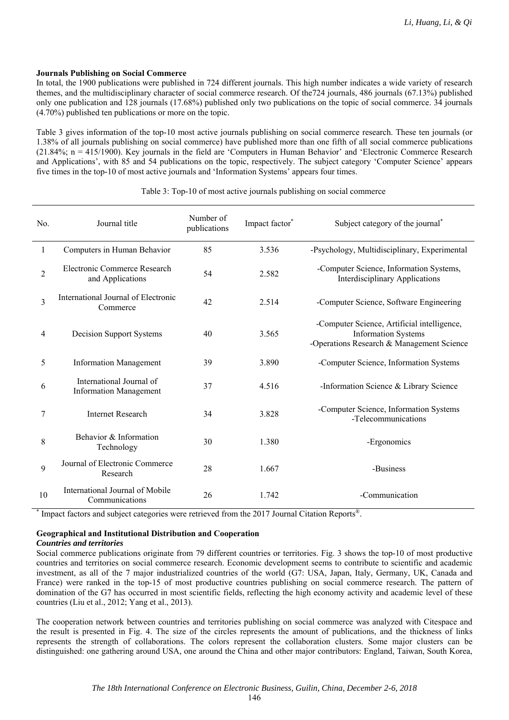#### **Journals Publishing on Social Commerce**

In total, the 1900 publications were published in 724 different journals. This high number indicates a wide variety of research themes, and the multidisciplinary character of social commerce research. Of the724 journals, 486 journals (67.13%) published only one publication and 128 journals (17.68%) published only two publications on the topic of social commerce. 34 journals (4.70%) published ten publications or more on the topic.

Table 3 gives information of the top-10 most active journals publishing on social commerce research. These ten journals (or 1.38% of all journals publishing on social commerce) have published more than one fifth of all social commerce publications (21.84%; n = 415/1900). Key journals in the field are 'Computers in Human Behavior' and 'Electronic Commerce Research and Applications', with 85 and 54 publications on the topic, respectively. The subject category 'Computer Science' appears five times in the top-10 of most active journals and 'Information Systems' appears four times.

| No.            | Journal title                                             | Number of<br>publications | Impact factor* | Subject category of the journal*                                                                                       |
|----------------|-----------------------------------------------------------|---------------------------|----------------|------------------------------------------------------------------------------------------------------------------------|
| 1              | Computers in Human Behavior                               | 85                        | 3.536          | -Psychology, Multidisciplinary, Experimental                                                                           |
| $\overline{2}$ | Electronic Commerce Research<br>and Applications          | 54                        | 2.582          | -Computer Science, Information Systems,<br><b>Interdisciplinary Applications</b>                                       |
| 3              | International Journal of Electronic<br>Commerce           | 42                        | 2.514          | -Computer Science, Software Engineering                                                                                |
| 4              | Decision Support Systems                                  | 40                        | 3.565          | -Computer Science, Artificial intelligence,<br><b>Information Systems</b><br>-Operations Research & Management Science |
| 5              | <b>Information Management</b>                             | 39                        | 3.890          | -Computer Science, Information Systems                                                                                 |
| 6              | International Journal of<br><b>Information Management</b> | 37                        | 4.516          | -Information Science & Library Science                                                                                 |
| 7              | <b>Internet Research</b>                                  | 34                        | 3.828          | -Computer Science, Information Systems<br>-Telecommunications                                                          |
| 8              | Behavior & Information<br>Technology                      | 30                        | 1.380          | -Ergonomics                                                                                                            |
| 9              | Journal of Electronic Commerce<br>Research                | 28                        | 1.667          | -Business                                                                                                              |
| 10             | International Journal of Mobile<br>Communications         | 26                        | 1.742          | -Communication                                                                                                         |

Table 3: Top-10 of most active journals publishing on social commerce

\* Impact factors and subject categories were retrieved from the 2017 Journal Citation Reports®.

### **Geographical and Institutional Distribution and Cooperation**

#### *Countries and territories*

Social commerce publications originate from 79 different countries or territories. Fig. 3 shows the top-10 of most productive countries and territories on social commerce research. Economic development seems to contribute to scientific and academic investment, as all of the 7 major industrialized countries of the world (G7: USA, Japan, Italy, Germany, UK, Canada and France) were ranked in the top-15 of most productive countries publishing on social commerce research. The pattern of domination of the G7 has occurred in most scientific fields, reflecting the high economy activity and academic level of these countries (Liu et al., 2012; Yang et al., 2013).

The cooperation network between countries and territories publishing on social commerce was analyzed with Citespace and the result is presented in Fig. 4. The size of the circles represents the amount of publications, and the thickness of links represents the strength of collaborations. The colors represent the collaboration clusters. Some major clusters can be distinguished: one gathering around USA, one around the China and other major contributors: England, Taiwan, South Korea,

146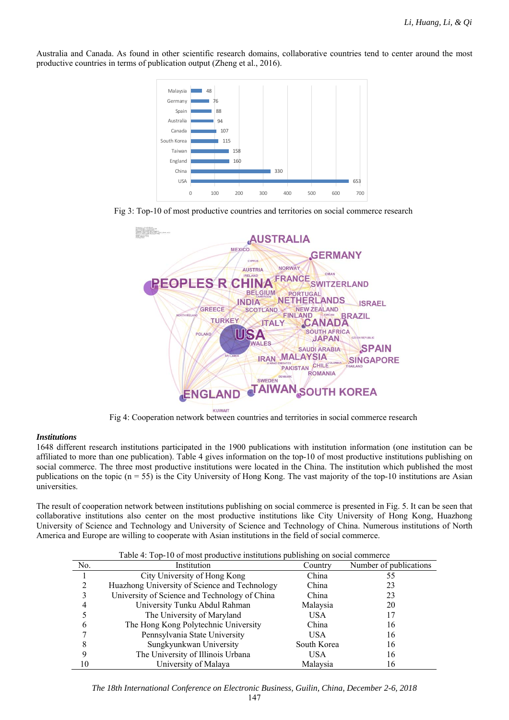Australia and Canada. As found in other scientific research domains, collaborative countries tend to center around the most productive countries in terms of publication output (Zheng et al., 2016).







Fig 4: Cooperation network between countries and territories in social commerce research

#### *Institutions*

1648 different research institutions participated in the 1900 publications with institution information (one institution can be affiliated to more than one publication). Table 4 gives information on the top-10 of most productive institutions publishing on social commerce. The three most productive institutions were located in the China. The institution which published the most publications on the topic  $(n = 55)$  is the City University of Hong Kong. The vast majority of the top-10 institutions are Asian universities.

The result of cooperation network between institutions publishing on social commerce is presented in Fig. 5. It can be seen that collaborative institutions also center on the most productive institutions like City University of Hong Kong, Huazhong University of Science and Technology and University of Science and Technology of China. Numerous institutions of North America and Europe are willing to cooperate with Asian institutions in the field of social commerce.

| Table 4: Top-10 of most productive institutions publishing on social commerce |                                               |             |                        |  |  |
|-------------------------------------------------------------------------------|-----------------------------------------------|-------------|------------------------|--|--|
| No.                                                                           | Institution                                   | Country     | Number of publications |  |  |
|                                                                               | City University of Hong Kong                  | China       | 55                     |  |  |
|                                                                               | Huazhong University of Science and Technology | China       | 23                     |  |  |
|                                                                               | University of Science and Technology of China | China       | 23                     |  |  |
|                                                                               | University Tunku Abdul Rahman                 | Malaysia    | 20                     |  |  |
|                                                                               | The University of Maryland                    | <b>USA</b>  | 17                     |  |  |
|                                                                               | The Hong Kong Polytechnic University          | China       | 16                     |  |  |
|                                                                               | Pennsylvania State University                 | USA.        | 16                     |  |  |
|                                                                               | Sungkyunkwan University                       | South Korea | 16                     |  |  |
|                                                                               | The University of Illinois Urbana             | USA         | 16                     |  |  |
|                                                                               | University of Malaya                          | Malaysia    | 16                     |  |  |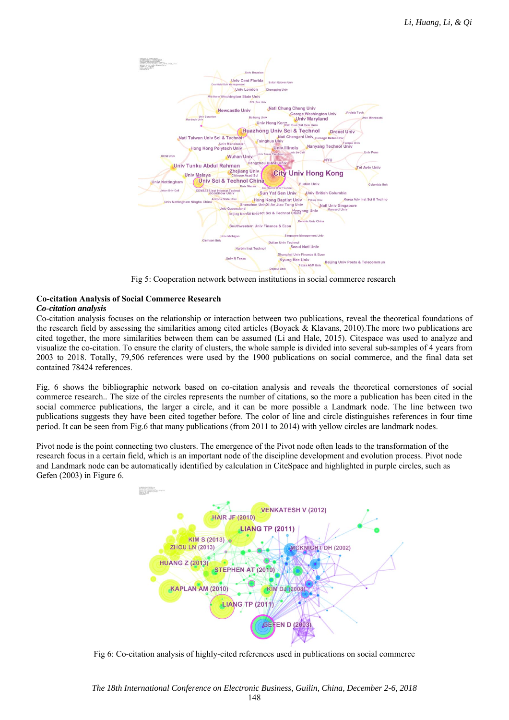

Fig 5: Cooperation network between institutions in social commerce research

#### **Co-citation Analysis of Social Commerce Research**  *Co-citation analysis*

Co-citation analysis focuses on the relationship or interaction between two publications, reveal the theoretical foundations of the research field by assessing the similarities among cited articles (Boyack & Klavans, 2010).The more two publications are cited together, the more similarities between them can be assumed (Li and Hale, 2015). Citespace was used to analyze and visualize the co-citation. To ensure the clarity of clusters, the whole sample is divided into several sub-samples of 4 years from 2003 to 2018. Totally, 79,506 references were used by the 1900 publications on social commerce, and the final data set contained 78424 references.

Fig. 6 shows the bibliographic network based on co-citation analysis and reveals the theoretical cornerstones of social commerce research.. The size of the circles represents the number of citations, so the more a publication has been cited in the social commerce publications, the larger a circle, and it can be more possible a Landmark node. The line between two publications suggests they have been cited together before. The color of line and circle distinguishes references in four time period. It can be seen from Fig.6 that many publications (from 2011 to 2014) with yellow circles are landmark nodes.

Pivot node is the point connecting two clusters. The emergence of the Pivot node often leads to the transformation of the research focus in a certain field, which is an important node of the discipline development and evolution process. Pivot node and Landmark node can be automatically identified by calculation in CiteSpace and highlighted in purple circles, such as Gefen (2003) in Figure 6.



Fig 6: Co-citation analysis of highly-cited references used in publications on social commerce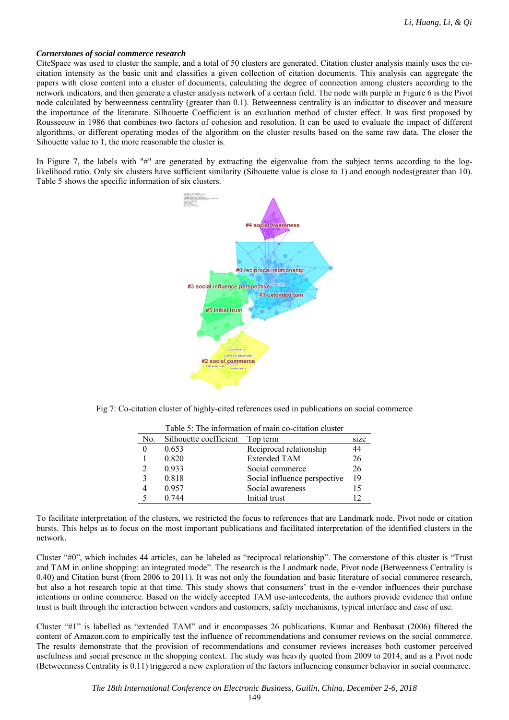#### *Cornerstones of social commerce research*

CiteSpace was used to cluster the sample, and a total of 50 clusters are generated. Citation cluster analysis mainly uses the cocitation intensity as the basic unit and classifies a given collection of citation documents. This analysis can aggregate the papers with close content into a cluster of documents, calculating the degree of connection among clusters according to the network indicators, and then generate a cluster analysis network of a certain field. The node with purple in Figure 6 is the Pivot node calculated by betweenness centrality (greater than 0.1). Betweenness centrality is an indicator to discover and measure the importance of the literature. Silhouette Coefficient is an evaluation method of cluster effect. It was first proposed by Rousseeuw in 1986 that combines two factors of cohesion and resolution. It can be used to evaluate the impact of different algorithms, or different operating modes of the algorithm on the cluster results based on the same raw data. The closer the Sihouette value to 1, the more reasonable the cluster is.

In Figure 7, the labels with "#" are generated by extracting the eigenvalue from the subject terms according to the loglikelihood ratio. Only six clusters have sufficient similarity (Sihouette value is close to 1) and enough nodes(greater than 10). Table 5 shows the specific information of six clusters.



Fig 7: Co-citation cluster of highly-cited references used in publications on social commerce

| No. | Silhouette coefficient | Top term                     | size |
|-----|------------------------|------------------------------|------|
|     | 0.653                  | Reciprocal relationship      | 44   |
|     | 0.820                  | <b>Extended TAM</b>          | 26   |
|     | 0.933                  | Social commerce              | 26   |
|     | 0.818                  | Social influence perspective | 19   |
|     | 0.957                  | Social awareness             | 15   |
|     | 0.744                  | Initial trust                |      |

Table 5: The information of main co-citation cluster

To facilitate interpretation of the clusters, we restricted the focus to references that are Landmark node, Pivot node or citation bursts. This helps us to focus on the most important publications and facilitated interpretation of the identified clusters in the network.

Cluster "#0", which includes 44 articles, can be labeled as "reciprocal relationship". The cornerstone of this cluster is "Trust and TAM in online shopping: an integrated mode". The research is the Landmark node, Pivot node (Betweenness Centrality is 0.40) and Citation burst (from 2006 to 2011). It was not only the foundation and basic literature of social commerce research, but also a hot research topic at that time. This study shows that consumers' trust in the e-vendor influences their purchase intentions in online commerce. Based on the widely accepted TAM use-antecedents, the authors provide evidence that online trust is built through the interaction between vendors and customers, safety mechanisms, typical interface and ease of use.

Cluster "#1" is labelled as "extended TAM" and it encompasses 26 publications. Kumar and Benbasat (2006) filtered the content of Amazon.com to empirically test the influence of recommendations and consumer reviews on the social commerce. The results demonstrate that the provision of recommendations and consumer reviews increases both customer perceived usefulness and social presence in the shopping context. The study was heavily quoted from 2009 to 2014, and as a Pivot node (Betweenness Centrality is 0.11) triggered a new exploration of the factors influencing consumer behavior in social commerce.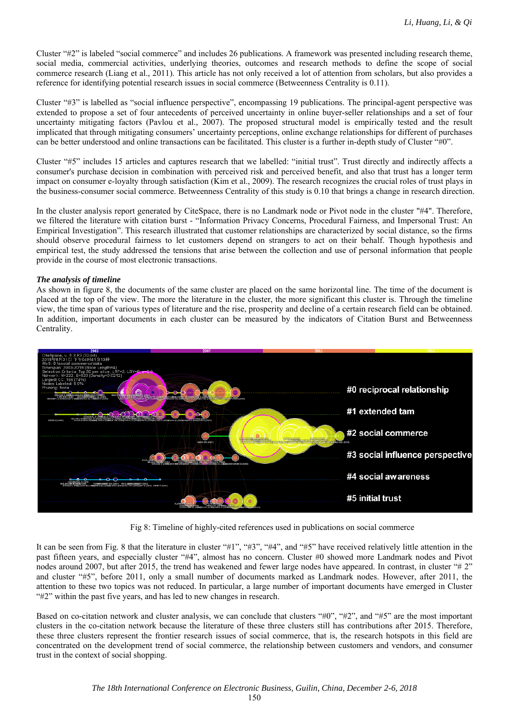Cluster "#2" is labeled "social commerce" and includes 26 publications. A framework was presented including research theme, social media, commercial activities, underlying theories, outcomes and research methods to define the scope of social commerce research (Liang et al., 2011). This article has not only received a lot of attention from scholars, but also provides a reference for identifying potential research issues in social commerce (Betweenness Centrality is 0.11).

Cluster "#3" is labelled as "social influence perspective", encompassing 19 publications. The principal-agent perspective was extended to propose a set of four antecedents of perceived uncertainty in online buyer-seller relationships and a set of four uncertainty mitigating factors (Pavlou et al., 2007). The proposed structural model is empirically tested and the result implicated that through mitigating consumers' uncertainty perceptions, online exchange relationships for different of purchases can be better understood and online transactions can be facilitated. This cluster is a further in-depth study of Cluster "#0".

Cluster "#5" includes 15 articles and captures research that we labelled: "initial trust". Trust directly and indirectly affects a consumer's purchase decision in combination with perceived risk and perceived benefit, and also that trust has a longer term impact on consumer e-loyalty through satisfaction (Kim et al., 2009). The research recognizes the crucial roles of trust plays in the business-consumer social commerce. Betweenness Centrality of this study is 0.10 that brings a change in research direction.

In the cluster analysis report generated by CiteSpace, there is no Landmark node or Pivot node in the cluster "#4". Therefore, we filtered the literature with citation burst - "Information Privacy Concerns, Procedural Fairness, and Impersonal Trust: An Empirical Investigation". This research illustrated that customer relationships are characterized by social distance, so the firms should observe procedural fairness to let customers depend on strangers to act on their behalf. Though hypothesis and empirical test, the study addressed the tensions that arise between the collection and use of personal information that people provide in the course of most electronic transactions.

#### *The analysis of timeline*

As shown in figure 8, the documents of the same cluster are placed on the same horizontal line. The time of the document is placed at the top of the view. The more the literature in the cluster, the more significant this cluster is. Through the timeline view, the time span of various types of literature and the rise, prosperity and decline of a certain research field can be obtained. In addition, important documents in each cluster can be measured by the indicators of Citation Burst and Betweenness Centrality.



Fig 8: Timeline of highly-cited references used in publications on social commerce

It can be seen from Fig. 8 that the literature in cluster "#1", "#3", "#4", and "#5" have received relatively little attention in the past fifteen years, and especially cluster "#4", almost has no concern. Cluster #0 showed more Landmark nodes and Pivot nodes around 2007, but after 2015, the trend has weakened and fewer large nodes have appeared. In contrast, in cluster "# 2" and cluster "#5", before 2011, only a small number of documents marked as Landmark nodes. However, after 2011, the attention to these two topics was not reduced. In particular, a large number of important documents have emerged in Cluster "#2" within the past five years, and has led to new changes in research.

Based on co-citation network and cluster analysis, we can conclude that clusters "#0", "#2", and "#5" are the most important clusters in the co-citation network because the literature of these three clusters still has contributions after 2015. Therefore, these three clusters represent the frontier research issues of social commerce, that is, the research hotspots in this field are concentrated on the development trend of social commerce, the relationship between customers and vendors, and consumer trust in the context of social shopping.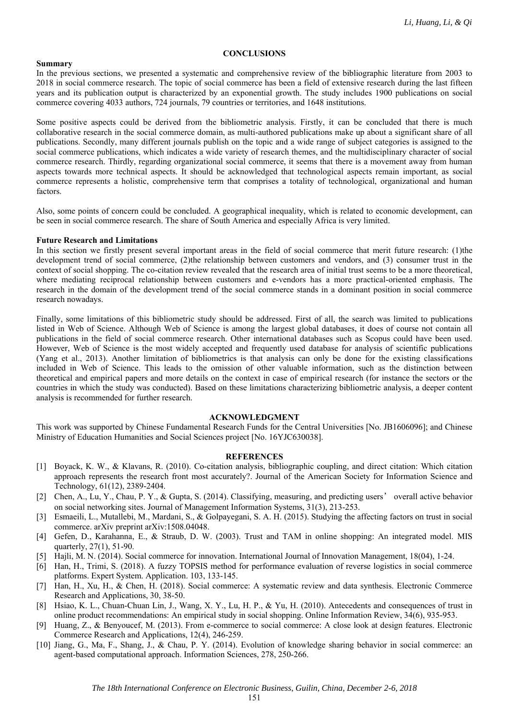#### **CONCLUSIONS**

#### **Summary**

In the previous sections, we presented a systematic and comprehensive review of the bibliographic literature from 2003 to 2018 in social commerce research. The topic of social commerce has been a field of extensive research during the last fifteen years and its publication output is characterized by an exponential growth. The study includes 1900 publications on social commerce covering 4033 authors, 724 journals, 79 countries or territories, and 1648 institutions.

Some positive aspects could be derived from the bibliometric analysis. Firstly, it can be concluded that there is much collaborative research in the social commerce domain, as multi-authored publications make up about a significant share of all publications. Secondly, many different journals publish on the topic and a wide range of subject categories is assigned to the social commerce publications, which indicates a wide variety of research themes, and the multidisciplinary character of social commerce research. Thirdly, regarding organizational social commerce, it seems that there is a movement away from human aspects towards more technical aspects. It should be acknowledged that technological aspects remain important, as social commerce represents a holistic, comprehensive term that comprises a totality of technological, organizational and human factors.

Also, some points of concern could be concluded. A geographical inequality, which is related to economic development, can be seen in social commerce research. The share of South America and especially Africa is very limited.

#### **Future Research and Limitations**

In this section we firstly present several important areas in the field of social commerce that merit future research: (1)the development trend of social commerce, (2)the relationship between customers and vendors, and (3) consumer trust in the context of social shopping. The co-citation review revealed that the research area of initial trust seems to be a more theoretical, where mediating reciprocal relationship between customers and e-vendors has a more practical-oriented emphasis. The research in the domain of the development trend of the social commerce stands in a dominant position in social commerce research nowadays.

Finally, some limitations of this bibliometric study should be addressed. First of all, the search was limited to publications listed in Web of Science. Although Web of Science is among the largest global databases, it does of course not contain all publications in the field of social commerce research. Other international databases such as Scopus could have been used. However, Web of Science is the most widely accepted and frequently used database for analysis of scientific publications (Yang et al., 2013). Another limitation of bibliometrics is that analysis can only be done for the existing classifications included in Web of Science. This leads to the omission of other valuable information, such as the distinction between theoretical and empirical papers and more details on the context in case of empirical research (for instance the sectors or the countries in which the study was conducted). Based on these limitations characterizing bibliometric analysis, a deeper content analysis is recommended for further research.

#### **ACKNOWLEDGMENT**

This work was supported by Chinese Fundamental Research Funds for the Central Universities [No. JB1606096]; and Chinese Ministry of Education Humanities and Social Sciences project [No. 16YJC630038].

#### **REFERENCES**

- [1] Boyack, K. W., & Klavans, R. (2010). Co-citation analysis, bibliographic coupling, and direct citation: Which citation approach represents the research front most accurately?. Journal of the American Society for Information Science and Technology, 61(12), 2389-2404.
- [2] Chen, A., Lu, Y., Chau, P. Y., & Gupta, S. (2014). Classifying, measuring, and predicting users' overall active behavior on social networking sites. Journal of Management Information Systems, 31(3), 213-253.
- [3] Esmaeili, L., Mutallebi, M., Mardani, S., & Golpayegani, S. A. H. (2015). Studying the affecting factors on trust in social commerce. arXiv preprint arXiv:1508.04048.
- [4] Gefen, D., Karahanna, E., & Straub, D. W. (2003). Trust and TAM in online shopping: An integrated model. MIS quarterly, 27(1), 51-90.
- Hajli, M. N. (2014). Social commerce for innovation. International Journal of Innovation Management, 18(04), 1-24.
- [6] Han, H., Trimi, S. (2018). A fuzzy TOPSIS method for performance evaluation of reverse logistics in social commerce platforms. Expert System. Application. 103, 133-145.
- [7] Han, H., Xu, H., & Chen, H. (2018). Social commerce: A systematic review and data synthesis. Electronic Commerce Research and Applications, 30, 38-50.
- [8] Hsiao, K. L., Chuan-Chuan Lin, J., Wang, X. Y., Lu, H. P., & Yu, H. (2010). Antecedents and consequences of trust in online product recommendations: An empirical study in social shopping. Online Information Review, 34(6), 935-953.
- [9] Huang, Z., & Benyoucef, M. (2013). From e-commerce to social commerce: A close look at design features. Electronic Commerce Research and Applications, 12(4), 246-259.
- [10] Jiang, G., Ma, F., Shang, J., & Chau, P. Y. (2014). Evolution of knowledge sharing behavior in social commerce: an agent-based computational approach. Information Sciences, 278, 250-266.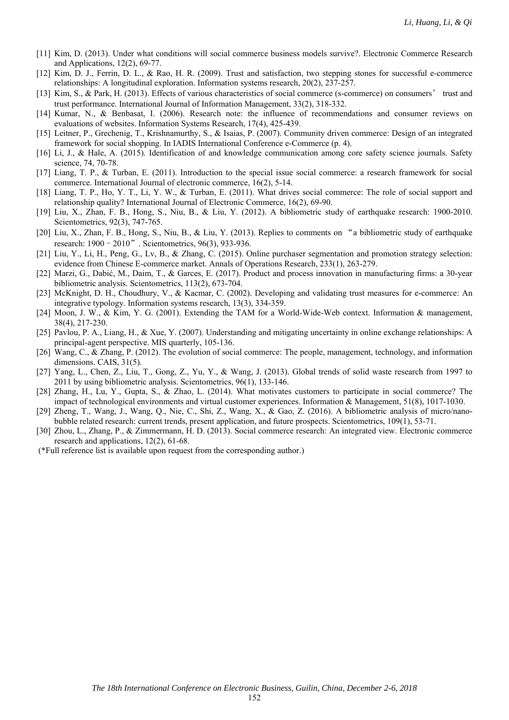- [11] Kim, D. (2013). Under what conditions will social commerce business models survive?. Electronic Commerce Research and Applications, 12(2), 69-77.
- [12] Kim, D. J., Ferrin, D. L., & Rao, H. R. (2009). Trust and satisfaction, two stepping stones for successful e-commerce relationships: A longitudinal exploration. Information systems research, 20(2), 237-257.
- [13] Kim, S., & Park, H. (2013). Effects of various characteristics of social commerce (s-commerce) on consumers' trust and trust performance. International Journal of Information Management, 33(2), 318-332.
- [14] Kumar, N., & Benbasat, I. (2006). Research note: the influence of recommendations and consumer reviews on evaluations of websites. Information Systems Research, 17(4), 425-439.
- [15] Leitner, P., Grechenig, T., Krishnamurthy, S., & Isaias, P. (2007). Community driven commerce: Design of an integrated framework for social shopping. In IADIS International Conference e-Commerce (p. 4).
- [16] Li, J., & Hale, A. (2015). Identification of and knowledge communication among core safety science journals. Safety science, 74, 70-78.
- [17] Liang, T. P., & Turban, E. (2011). Introduction to the special issue social commerce: a research framework for social commerce. International Journal of electronic commerce, 16(2), 5-14.
- [18] Liang, T. P., Ho, Y. T., Li, Y. W., & Turban, E. (2011). What drives social commerce: The role of social support and relationship quality? International Journal of Electronic Commerce, 16(2), 69-90.
- [19] Liu, X., Zhan, F. B., Hong, S., Niu, B., & Liu, Y. (2012). A bibliometric study of earthquake research: 1900-2010. Scientometrics, 92(3), 747-765.
- [20] Liu, X., Zhan, F. B., Hong, S., Niu, B., & Liu, Y. (2013). Replies to comments on "a bibliometric study of earthquake research: 1900–2010". Scientometrics, 96(3), 933-936.
- [21] Liu, Y., Li, H., Peng, G., Lv, B., & Zhang, C. (2015). Online purchaser segmentation and promotion strategy selection: evidence from Chinese E-commerce market. Annals of Operations Research, 233(1), 263-279.
- [22] Marzi, G., Dabić, M., Daim, T., & Garces, E. (2017). Product and process innovation in manufacturing firms: a 30-year bibliometric analysis. Scientometrics, 113(2), 673-704.
- [23] McKnight, D. H., Choudhury, V., & Kacmar, C. (2002). Developing and validating trust measures for e-commerce: An integrative typology. Information systems research, 13(3), 334-359.
- [24] Moon, J. W., & Kim, Y. G. (2001). Extending the TAM for a World-Wide-Web context. Information & management, 38(4), 217-230.
- [25] Pavlou, P. A., Liang, H., & Xue, Y. (2007). Understanding and mitigating uncertainty in online exchange relationships: A principal-agent perspective. MIS quarterly, 105-136.
- [26] Wang, C., & Zhang, P. (2012). The evolution of social commerce: The people, management, technology, and information dimensions. CAIS, 31(5).
- [27] Yang, L., Chen, Z., Liu, T., Gong, Z., Yu, Y., & Wang, J. (2013). Global trends of solid waste research from 1997 to 2011 by using bibliometric analysis. Scientometrics, 96(1), 133-146.
- [28] Zhang, H., Lu, Y., Gupta, S., & Zhao, L. (2014). What motivates customers to participate in social commerce? The impact of technological environments and virtual customer experiences. Information & Management, 51(8), 1017-1030.
- [29] Zheng, T., Wang, J., Wang, Q., Nie, C., Shi, Z., Wang, X., & Gao, Z. (2016). A bibliometric analysis of micro/nanobubble related research: current trends, present application, and future prospects. Scientometrics, 109(1), 53-71.
- [30] Zhou, L., Zhang, P., & Zimmermann, H. D. (2013). Social commerce research: An integrated view. Electronic commerce research and applications, 12(2), 61-68.
- (\*Full reference list is available upon request from the corresponding author.)